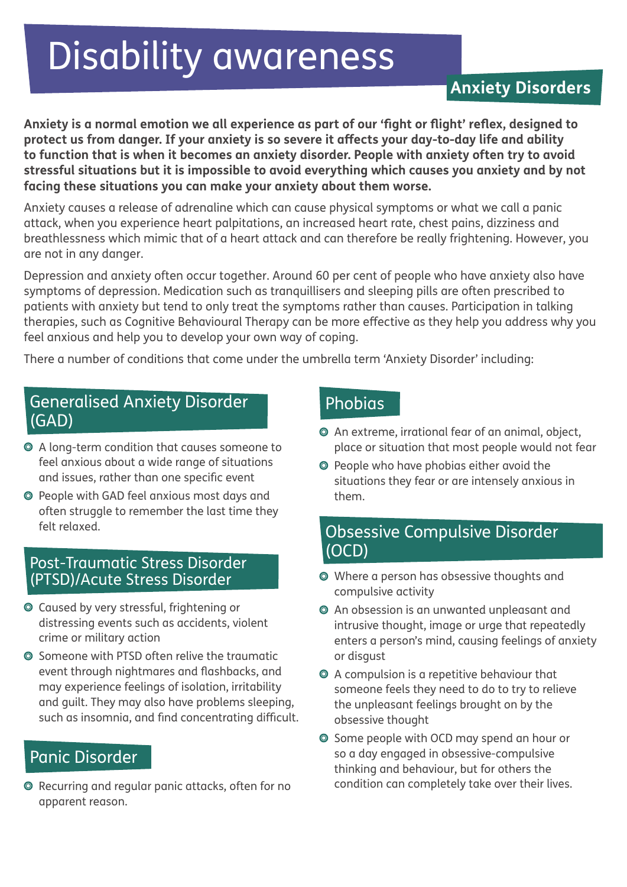# Disability awareness

# **Anxiety Disorders**

**Anxiety is a normal emotion we all experience as part of our 'fight or flight' reflex, designed to protect us from danger. If your anxiety is so severe it affects your day-to-day life and ability to function that is when it becomes an anxiety disorder. People with anxiety often try to avoid stressful situations but it is impossible to avoid everything which causes you anxiety and by not facing these situations you can make your anxiety about them worse.**

Anxiety causes a release of adrenaline which can cause physical symptoms or what we call a panic attack, when you experience heart palpitations, an increased heart rate, chest pains, dizziness and breathlessness which mimic that of a heart attack and can therefore be really frightening. However, you are not in any danger.

Depression and anxiety often occur together. Around 60 per cent of people who have anxiety also have symptoms of depression. Medication such as tranquillisers and sleeping pills are often prescribed to patients with anxiety but tend to only treat the symptoms rather than causes. Participation in talking therapies, such as Cognitive Behavioural Therapy can be more effective as they help you address why you feel anxious and help you to develop your own way of coping.

There a number of conditions that come under the umbrella term 'Anxiety Disorder' including:

## Generalised Anxiety Disorder (GAD)

- A long-term condition that causes someone to feel anxious about a wide range of situations and issues, rather than one specific event
- People with GAD feel anxious most days and often struggle to remember the last time they felt relaxed.

#### Post-Traumatic Stress Disorder (PTSD)/Acute Stress Disorder

- Caused by very stressful, frightening or distressing events such as accidents, violent crime or military action
- Someone with PTSD often relive the traumatic event through nightmares and flashbacks, and may experience feelings of isolation, irritability and guilt. They may also have problems sleeping, such as insomnia, and find concentrating difficult.

## Panic Disorder

Recurring and regular panic attacks, often for no condition can completely take over their lives. apparent reason.

## Phobias

- An extreme, irrational fear of an animal, object, place or situation that most people would not fear
- People who have phobias either avoid the situations they fear or are intensely anxious in them.

## Obsessive Compulsive Disorder (OCD)

- Where a person has obsessive thoughts and compulsive activity
- An obsession is an unwanted unpleasant and intrusive thought, image or urge that repeatedly enters a person's mind, causing feelings of anxiety or disgust
- A compulsion is a repetitive behaviour that someone feels they need to do to try to relieve the unpleasant feelings brought on by the obsessive thought
- Some people with OCD may spend an hour or so a day engaged in obsessive-compulsive thinking and behaviour, but for others the